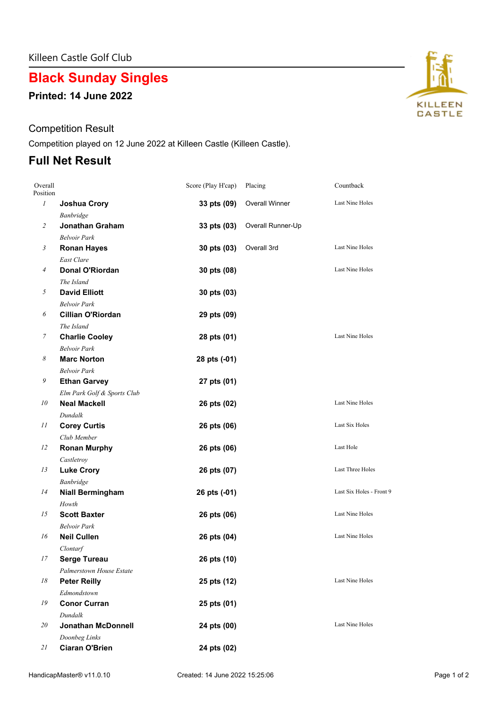# **Black Sunday Singles**

**Printed: 14 June 2022**

### Competition Result

Competition played on 12 June 2022 at Killeen Castle (Killeen Castle).

### **Full Net Result**

| Overall<br>Position |                             | Score (Play H'cap) | Placing               | Countback                |
|---------------------|-----------------------------|--------------------|-----------------------|--------------------------|
| $\mathfrak{I}$      | <b>Joshua Crory</b>         | 33 pts (09)        | <b>Overall Winner</b> | Last Nine Holes          |
|                     | Banbridge                   |                    |                       |                          |
| 2                   | Jonathan Graham             | 33 pts (03)        | Overall Runner-Up     |                          |
|                     | <b>Belvoir Park</b>         |                    |                       |                          |
| 3                   | <b>Ronan Hayes</b>          | 30 pts (03)        | Overall 3rd           | Last Nine Holes          |
|                     | East Clare                  |                    |                       |                          |
| $\overline{A}$      | Donal O'Riordan             | 30 pts (08)        |                       | Last Nine Holes          |
|                     | The Island                  |                    |                       |                          |
| 5                   | <b>David Elliott</b>        | 30 pts (03)        |                       |                          |
|                     | <b>Belvoir Park</b>         |                    |                       |                          |
| 6                   | <b>Cillian O'Riordan</b>    | 29 pts (09)        |                       |                          |
|                     | The Island                  |                    |                       |                          |
| 7                   | <b>Charlie Cooley</b>       | 28 pts (01)        |                       | <b>Last Nine Holes</b>   |
|                     | <b>Belvoir Park</b>         |                    |                       |                          |
| 8                   | <b>Marc Norton</b>          | 28 pts (-01)       |                       |                          |
|                     | <b>Belvoir Park</b>         |                    |                       |                          |
| 9                   | <b>Ethan Garvey</b>         | 27 pts (01)        |                       |                          |
|                     | Elm Park Golf & Sports Club |                    |                       |                          |
| 10                  | <b>Neal Mackell</b>         | 26 pts (02)        |                       | Last Nine Holes          |
|                     | Dundalk                     |                    |                       |                          |
| 11                  | <b>Corey Curtis</b>         | 26 pts (06)        |                       | Last Six Holes           |
|                     | Club Member                 |                    |                       |                          |
| 12                  | <b>Ronan Murphy</b>         | 26 pts (06)        |                       | Last Hole                |
|                     | Castletroy                  |                    |                       |                          |
| 13                  | <b>Luke Crory</b>           | 26 pts (07)        |                       | Last Three Holes         |
|                     | Banbridge                   |                    |                       |                          |
| 14                  | <b>Niall Bermingham</b>     | 26 pts (-01)       |                       | Last Six Holes - Front 9 |
|                     | Howth                       |                    |                       |                          |
| 15                  | <b>Scott Baxter</b>         | 26 pts (06)        |                       | Last Nine Holes          |
|                     | <b>Belvoir Park</b>         |                    |                       |                          |
| 16                  | <b>Neil Cullen</b>          | 26 pts (04)        |                       | Last Nine Holes          |
|                     | Clontarf                    |                    |                       |                          |
| 17                  | <b>Serge Tureau</b>         | 26 pts (10)        |                       |                          |
|                     | Palmerstown House Estate    |                    |                       |                          |
| 18                  | <b>Peter Reilly</b>         | 25 pts (12)        |                       | Last Nine Holes          |
|                     | Edmondstown                 |                    |                       |                          |
| 19                  | <b>Conor Curran</b>         | 25 pts (01)        |                       |                          |
|                     | Dundalk                     |                    |                       |                          |
| 20                  | <b>Jonathan McDonnell</b>   | 24 pts (00)        |                       | Last Nine Holes          |
|                     | Doonbeg Links               |                    |                       |                          |
| 21                  | <b>Ciaran O'Brien</b>       | 24 pts (02)        |                       |                          |